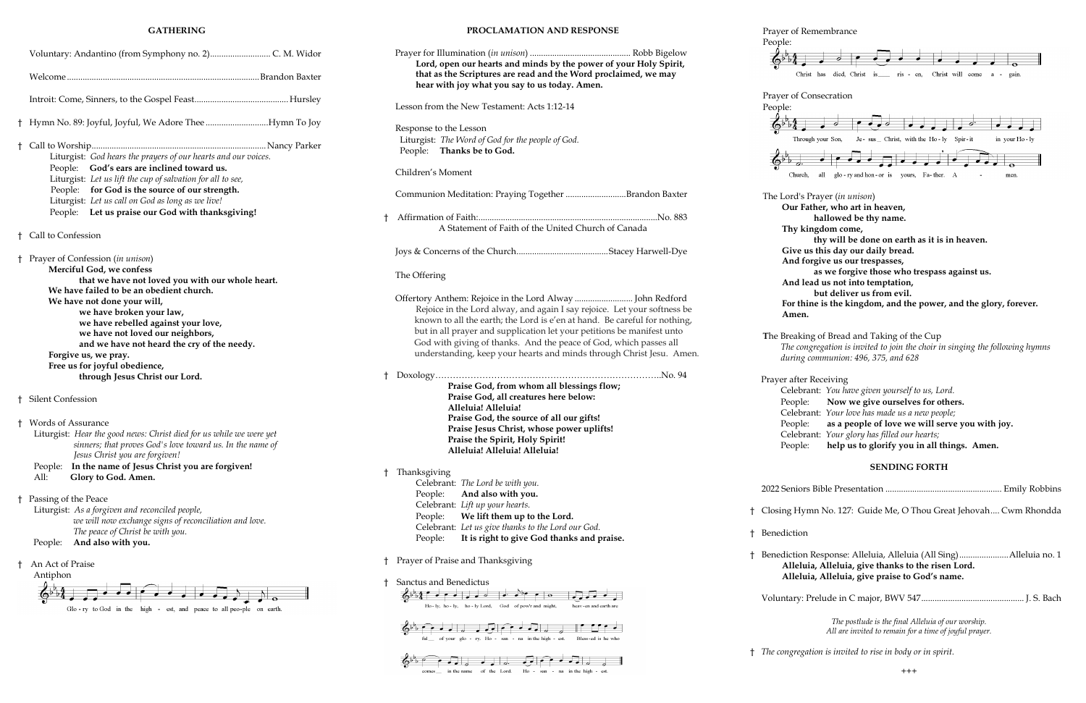#### **GATHERING**

| Ť    | Hymn No. 89: Joyful, Joyful, We Adore TheeHymn To Joy                                                                                                                                                                                                                                                                                                                                                                                        |
|------|----------------------------------------------------------------------------------------------------------------------------------------------------------------------------------------------------------------------------------------------------------------------------------------------------------------------------------------------------------------------------------------------------------------------------------------------|
| $^+$ | Liturgist: God hears the prayers of our hearts and our voices.<br>God's ears are inclined toward us.<br>People:<br>Liturgist: Let us lift the cup of salvation for all to see,<br>People: for God is the source of our strength.<br>Liturgist: Let us call on God as long as we live!<br>People: Let us praise our God with thanksgiving!                                                                                                    |
| t.   | Call to Confession                                                                                                                                                                                                                                                                                                                                                                                                                           |
| ŧ    | Prayer of Confession (in unison)<br>Merciful God, we confess<br>that we have not loved you with our whole heart.<br>We have failed to be an obedient church.<br>We have not done your will,<br>we have broken your law,<br>we have rebelled against your love,<br>we have not loved our neighbors,<br>and we have not heard the cry of the needy.<br>Forgive us, we pray.<br>Free us for joyful obedience,<br>through Jesus Christ our Lord. |
|      | † Silent Confession                                                                                                                                                                                                                                                                                                                                                                                                                          |
| t.   | Words of Assurance<br>Liturgist: Hear the good news: Christ died for us while we were yet<br>sinners; that proves God's love toward us. In the name of<br>Jesus Christ you are forgiven!<br>In the name of Jesus Christ you are forgiven!<br>People:<br>All:<br>Glory to God. Amen.                                                                                                                                                          |
| Ť    | Passing of the Peace<br>Liturgist: As a forgiven and reconciled people,<br>we will now exchange signs of reconciliation and love.<br>The peace of Christ be with you.<br>And also with you.<br>People:                                                                                                                                                                                                                                       |
| t    | An Act of Praise<br>Antiphon                                                                                                                                                                                                                                                                                                                                                                                                                 |

#### **PROCLAMATION AND RESPONSE**

People:  $\Phi^{\sharp}$ 

People: ⊕  $\Phi^{\natural}$ 

|   | Lord, open our hearts and minds by the power of your Holy Spirit,<br>that as the Scriptures are read and the Word proclaimed, we may<br>hear with joy what you say to us today. Amen.                                                                                                                                                                                        |   |
|---|------------------------------------------------------------------------------------------------------------------------------------------------------------------------------------------------------------------------------------------------------------------------------------------------------------------------------------------------------------------------------|---|
|   | Lesson from the New Testament: Acts 1:12-14                                                                                                                                                                                                                                                                                                                                  |   |
|   | Response to the Lesson<br>Liturgist: The Word of God for the people of God.<br>People: Thanks be to God.                                                                                                                                                                                                                                                                     |   |
|   | Children's Moment                                                                                                                                                                                                                                                                                                                                                            |   |
|   | Communion Meditation: Praying Together Brandon Baxter                                                                                                                                                                                                                                                                                                                        |   |
| t | A Statement of Faith of the United Church of Canada                                                                                                                                                                                                                                                                                                                          |   |
|   |                                                                                                                                                                                                                                                                                                                                                                              |   |
|   | The Offering                                                                                                                                                                                                                                                                                                                                                                 |   |
|   | Rejoice in the Lord alway, and again I say rejoice. Let your softness be<br>known to all the earth; the Lord is e'en at hand. Be careful for nothing,<br>but in all prayer and supplication let your petitions be manifest unto<br>God with giving of thanks. And the peace of God, which passes all<br>understanding, keep your hearts and minds through Christ Jesu. Amen. |   |
|   | Praise God, from whom all blessings flow;<br>Praise God, all creatures here below:<br>Alleluia! Alleluia!<br>Praise God, the source of all our gifts!<br>Praise Jesus Christ, whose power uplifts!<br>Praise the Spirit, Holy Spirit!<br>Alleluia! Alleluia! Alleluia!                                                                                                       |   |
| t | Thanksgiving<br>Celebrant: The Lord be with you.<br>And also with you.<br>People:<br>Celebrant: Lift up your hearts.<br>People:<br>We lift them up to the Lord.<br>Celebrant: Let us give thanks to the Lord our God.<br>It is right to give God thanks and praise.<br>People:                                                                                               | t |
| t | Prayer of Praise and Thanksgiving                                                                                                                                                                                                                                                                                                                                            |   |
| t | Sanctus and Benedictus<br>Ho-ly, ho-ly, ho-ly Lord,<br>God of pow'r and might,<br>heav-en and earth are                                                                                                                                                                                                                                                                      |   |
|   | ful __ of your glo - ry. Ho - san - na in the high - est.<br>Bless-ed is he who                                                                                                                                                                                                                                                                                              |   |
|   |                                                                                                                                                                                                                                                                                                                                                                              |   |

in the name of the Lord. Ho - san - na in the high - est.

#### Prayer of Remembrance

**Amen.**

**Benediction** 



† Benediction Response: Alleluia, Alleluia (All Sing)......................Alleluia no. 1 **Alleluia, Alleluia, give thanks to the risen Lord. Alleluia, Alleluia, give praise to God's name.** 

Voluntary: Prelude in C major, BWV 547.............................................. J. S. Bach

*The postlude is the final Alleluia of our worship. All are invited to remain for a time of joyful prayer.* 

† *The congregation is invited to rise in body or in spirit.*